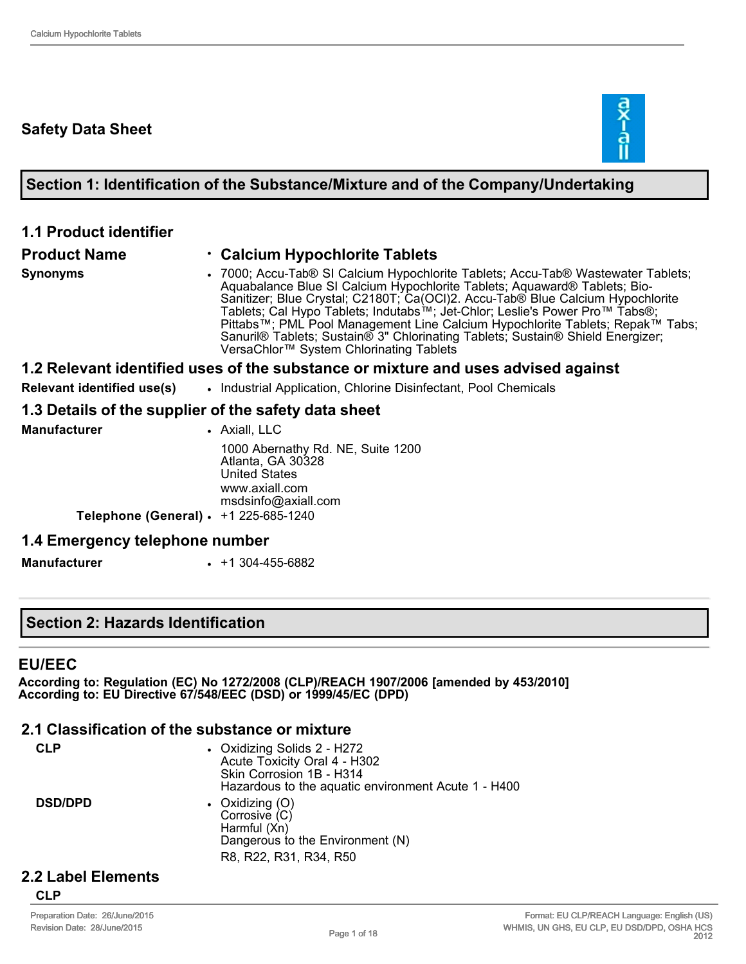# **Safety Data Sheet**



#### **Section 1: Identification of the Substance/Mixture and of the Company/Undertaking**

#### **1.1 Product identifier**

#### **Product Name** • **Calcium Hypochlorite Tablets**

- 
- **Synonyms** 7000; Accu-Tab® SI Calcium Hypochlorite Tablets; Accu-Tab® Wastewater Tablets; Aquabalance Blue SI Calcium Hypochlorite Tablets; Aquaward® Tablets; Bio-Sanitizer; Blue Crystal; C2180T; Ca(OCl)2. Accu-Tab® Blue Calcium Hypochlorite Tablets; Cal Hypo Tablets; Indutabs™; JetChlor; Leslie's Power Pro™ Tabs®;

#### Pittabs™; PML Pool Management Line Calcium Hypochlorite Tablets; Repak™ Tabs; Sanuril® Tablets; Sustain® 3" Chlorinating Tablets; Sustain® Shield Energizer; VersaChlor™ System Chlorinating Tablets

#### **1.2 Relevant identified uses of the substance or mixture and uses advised against**

**Relevant identified use(s)** • Industrial Application, Chlorine Disinfectant, Pool Chemicals

#### **1.3 Details of the supplier of the safety data sheet**

| <b>Manufacturer</b>                   | • Axiall, LLC                                                                                                           |
|---------------------------------------|-------------------------------------------------------------------------------------------------------------------------|
|                                       | 1000 Abernathy Rd. NE, Suite 1200<br>Atlanta, GA 30328<br><b>United States</b><br>www.axiall.com<br>msdsinfo@axiall.com |
| Telephone (General) • +1 225-685-1240 |                                                                                                                         |
| 1.4 Emergency telephone number        |                                                                                                                         |

**Manufacturer** • +1 304-455-6882

### **Section 2: Hazards Identification**

#### **EU/EEC**

**According to: Regulation (EC) No 1272/2008 (CLP)/REACH 1907/2006 [amended by 453/2010] According to: EU Directive 67/548/EEC (DSD) or 1999/45/EC (DPD)** 

#### **2.1 Classification of the substance or mixture**

| <b>CLP</b>     | • Oxidizing Solids 2 - H272<br>Acute Toxicity Oral 4 - H302<br>Skin Corrosion 1B - H314<br>Hazardous to the aquatic environment Acute 1 - H400 |
|----------------|------------------------------------------------------------------------------------------------------------------------------------------------|
| <b>DSD/DPD</b> | • Oxidizing $(O)$<br>Corrosive (C)<br>Harmful (Xn)<br>Dangerous to the Environment (N)<br>R8, R22, R31, R34, R50                               |
|                |                                                                                                                                                |

#### **2.2 Label Elements**

#### **CLP**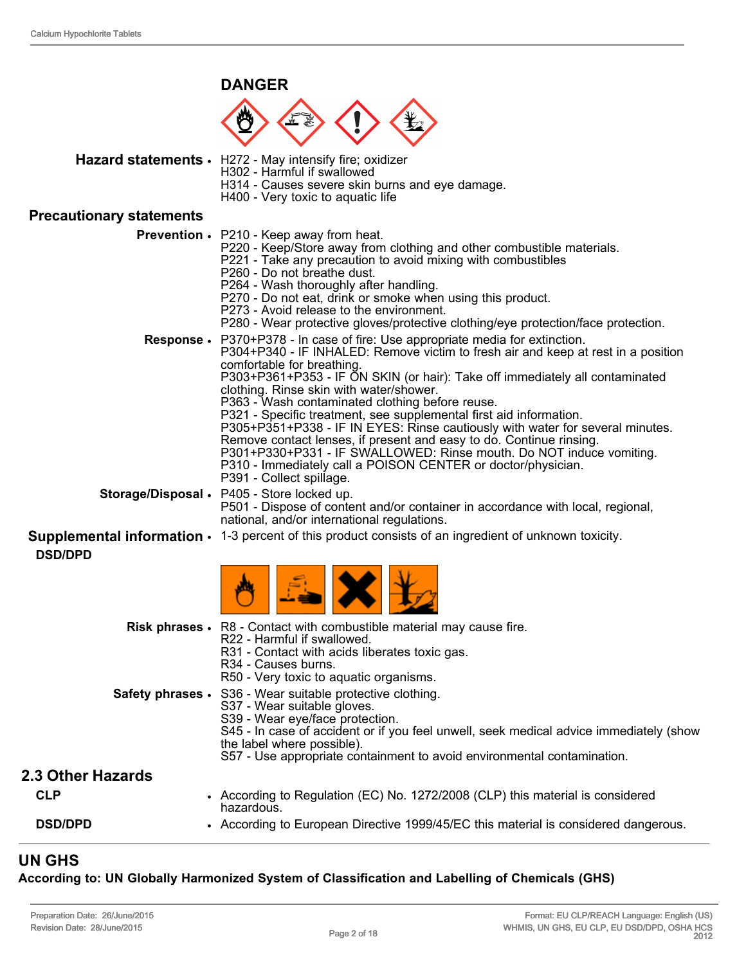#### **DANGER**



Hazard statements · H272 - May intensify fire; oxidizer

- H302 Harmful if swallowed
- - H314 Causes severe skin burns and eye damage.
	- H400 Very toxic to aquatic life

#### **Precautionary statements**

|                  | <b>Prevention •</b> P210 - Keep away from heat.<br>P220 - Keep/Store away from clothing and other combustible materials.<br>P221 - Take any precaution to avoid mixing with combustibles<br>P260 - Do not breathe dust.<br>P264 - Wash thoroughly after handling.<br>P270 - Do not eat, drink or smoke when using this product.<br>P273 - Avoid release to the environment.<br>P280 - Wear protective gloves/protective clothing/eye protection/face protection.                                                                                                                                                                                                                                                                                                     |
|------------------|----------------------------------------------------------------------------------------------------------------------------------------------------------------------------------------------------------------------------------------------------------------------------------------------------------------------------------------------------------------------------------------------------------------------------------------------------------------------------------------------------------------------------------------------------------------------------------------------------------------------------------------------------------------------------------------------------------------------------------------------------------------------|
| <b>Response.</b> | P370+P378 - In case of fire: Use appropriate media for extinction.<br>P304+P340 - IF INHALED: Remove victim to fresh air and keep at rest in a position<br>comfortable for breathing.<br>P303+P361+P353 - IF ON SKIN (or hair): Take off immediately all contaminated<br>clothing. Rinse skin with water/shower.<br>P363 - Wash contaminated clothing before reuse.<br>P321 - Specific treatment, see supplemental first aid information.<br>P305+P351+P338 - IF IN EYES: Rinse cautiously with water for several minutes.<br>Remove contact lenses, if present and easy to do. Continue rinsing.<br>P301+P330+P331 - IF SWALLOWED: Rinse mouth. Do NOT induce vomiting.<br>P310 - Immediately call a POISON CENTER or doctor/physician.<br>P391 - Collect spillage. |
|                  | Storage/Disposal • P405 - Store locked up.<br>P501 - Dispose of content and/or container in accordance with local, regional,<br>national, and/or international regulations.                                                                                                                                                                                                                                                                                                                                                                                                                                                                                                                                                                                          |
| <b>DSD/DPD</b>   | <b>Supplemental information</b> $\cdot$ 1-3 percent of this product consists of an ingredient of unknown toxicity.                                                                                                                                                                                                                                                                                                                                                                                                                                                                                                                                                                                                                                                   |
|                  |                                                                                                                                                                                                                                                                                                                                                                                                                                                                                                                                                                                                                                                                                                                                                                      |
|                  | Risk phrases • R8 - Contact with combustible material may cause fire.<br>R22 - Harmful if swallowed.<br>R31 - Contact with acids liberates toxic gas.<br>R <sub>34</sub> - Causes burns.<br>R50 - Very toxic to aquatic organisms.                                                                                                                                                                                                                                                                                                                                                                                                                                                                                                                                   |
|                  | Safety phrases · S36 - Wear suitable protective clothing.<br>S37 - Wear suitable gloves.                                                                                                                                                                                                                                                                                                                                                                                                                                                                                                                                                                                                                                                                             |

- S39 Wear eye/face protection.
	- S45 In case of accident or if you feel unwell, seek medical advice immediately (show
	- the label where possible). S57 - Use appropriate containment to avoid environmental contamination.

#### **2.3 Other Hazards**

| <b>CLP</b>     | According to Regulation (EC) No. 1272/2008 (CLP) this material is considered<br>hazardous. |
|----------------|--------------------------------------------------------------------------------------------|
| <b>DSD/DPD</b> | • According to European Directive 1999/45/EC this material is considered dangerous.        |

### **UN GHS**

#### **According to: UN Globally Harmonized System of Classification and Labelling of Chemicals (GHS)**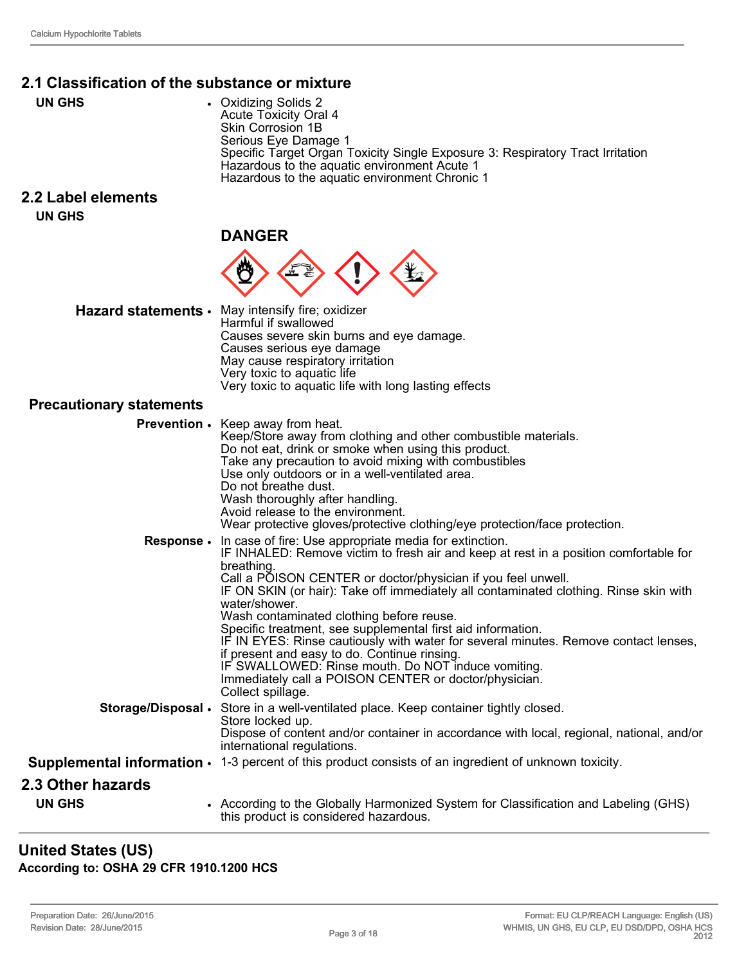# **2.1 Classification of the substance or mixture**

**UN GHS** • Oxidizing Solids 2 Acute Toxicity Oral 4 Skin Corrosion 1B Serious Eye Damage 1 Specific Target Organ Toxicity Single Exposure 3: Respiratory Tract Irritation Hazardous to the aquatic environment Acute 1 Hazardous to the aquatic environment Chronic 1

#### **2.2 Label elements UN GHS**

**DANGER**



| Hazard statements • May intensify fire; oxidizer<br>Harmful if swallowed |
|--------------------------------------------------------------------------|
| Causes severe skin burns and eye damage.                                 |
| Causes serious eye damage                                                |
| May cause respiratory irritation                                         |
| Very toxic to aquatic life                                               |
| Very toxic to aquatic life with long lasting effects                     |

# **Precautionary statements**

| <b>Precautionary statements</b> |                                                                                                                                                                                                                                                                                                                                                                                                                                                                                                                                                                                                                                                                                                                               |
|---------------------------------|-------------------------------------------------------------------------------------------------------------------------------------------------------------------------------------------------------------------------------------------------------------------------------------------------------------------------------------------------------------------------------------------------------------------------------------------------------------------------------------------------------------------------------------------------------------------------------------------------------------------------------------------------------------------------------------------------------------------------------|
| <b>Prevention .</b>             | Keep away from heat.<br>Keep/Store away from clothing and other combustible materials.<br>Do not eat, drink or smoke when using this product.<br>Take any precaution to avoid mixing with combustibles<br>Use only outdoors or in a well-ventilated area.<br>Do not breathe dust.<br>Wash thoroughly after handling.<br>Avoid release to the environment.<br>Wear protective gloves/protective clothing/eye protection/face protection.                                                                                                                                                                                                                                                                                       |
| <b>Response.</b>                | In case of fire: Use appropriate media for extinction.<br>IF INHALED: Remove victim to fresh air and keep at rest in a position comfortable for<br>breathing.<br>Call a POISON CENTER or doctor/physician if you feel unwell.<br>IF ON SKIN (or hair): Take off immediately all contaminated clothing. Rinse skin with<br>water/shower.<br>Wash contaminated clothing before reuse.<br>Specific treatment, see supplemental first aid information.<br>IF IN EYES: Rinse cautiously with water for several minutes. Remove contact lenses,<br>if present and easy to do. Continue rinsing.<br>IF SWALLOWED: Rinse mouth. Do NOT induce vomiting.<br>Immediately call a POISON CENTER or doctor/physician.<br>Collect spillage. |
|                                 | Storage/Disposal • Store in a well-ventilated place. Keep container tightly closed.<br>Store locked up.<br>Dispose of content and/or container in accordance with local, regional, national, and/or<br>international regulations.                                                                                                                                                                                                                                                                                                                                                                                                                                                                                             |
|                                 | <b>Supplemental information ·</b> 1-3 percent of this product consists of an ingredient of unknown toxicity.                                                                                                                                                                                                                                                                                                                                                                                                                                                                                                                                                                                                                  |
| 2.3 Other hazards               |                                                                                                                                                                                                                                                                                                                                                                                                                                                                                                                                                                                                                                                                                                                               |
| <b>UN GHS</b>                   | • According to the Globally Harmonized System for Classification and Labeling (GHS)<br>this product is considered hazardous.                                                                                                                                                                                                                                                                                                                                                                                                                                                                                                                                                                                                  |

### **United States (US)**

**According to: OSHA 29 CFR 1910.1200 HCS**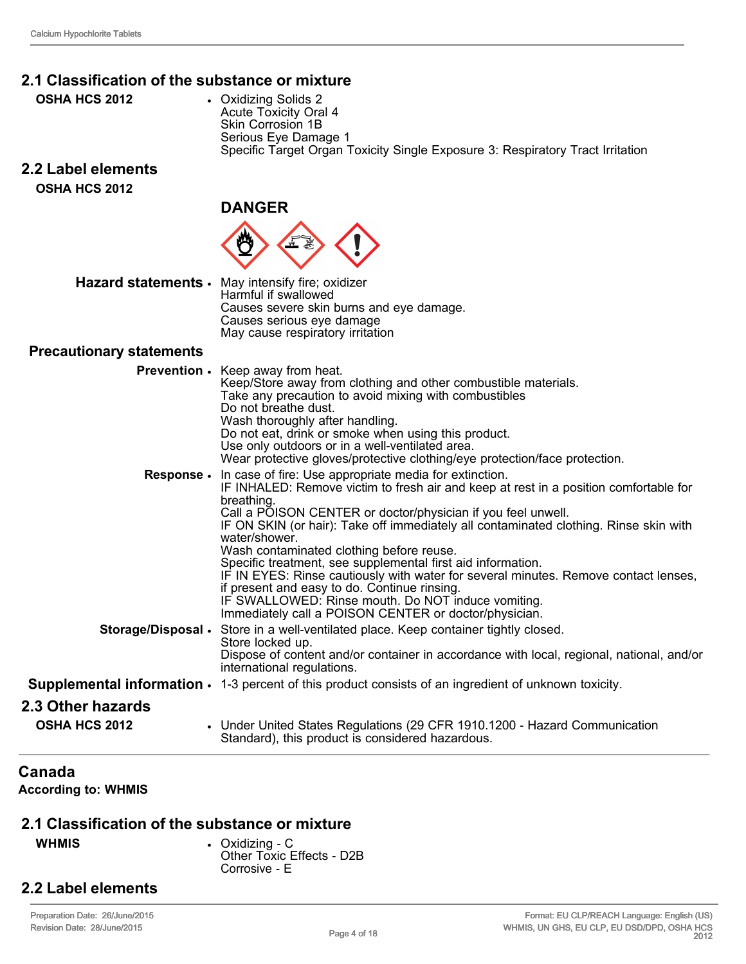## **2.1 Classification of the substance or mixture**

- **OSHA HCS 2012** Oxidizing Solids 2
- Acute Toxicity Oral 4 Skin Corrosion 1B Serious Eye Damage 1 Specific Target Organ Toxicity Single Exposure 3: Respiratory Tract Irritation

# **2.2 Label elements**

**OSHA HCS 2012**

#### **DANGER**



**Hazard statements** • May intensify fire; oxidizer Harmful if swallowed Causes severe skin burns and eye damage. Causes serious eye damage May cause respiratory irritation

#### **Precautionary statements**

|                                           | <b>Prevention .</b> Keep away from heat.<br>Keep/Store away from clothing and other combustible materials.<br>Take any precaution to avoid mixing with combustibles<br>Do not breathe dust.<br>Wash thoroughly after handling.<br>Do not eat, drink or smoke when using this product.<br>Use only outdoors or in a well-ventilated area.<br>Wear protective gloves/protective clothing/eye protection/face protection.                                                                                                                                                                                                                                                                                   |
|-------------------------------------------|----------------------------------------------------------------------------------------------------------------------------------------------------------------------------------------------------------------------------------------------------------------------------------------------------------------------------------------------------------------------------------------------------------------------------------------------------------------------------------------------------------------------------------------------------------------------------------------------------------------------------------------------------------------------------------------------------------|
| <b>Response</b> •                         | In case of fire: Use appropriate media for extinction.<br>IF INHALED: Remove victim to fresh air and keep at rest in a position comfortable for<br>breathing.<br>Call a POISON CENTER or doctor/physician if you feel unwell.<br>IF ON SKIN (or hair): Take off immediately all contaminated clothing. Rinse skin with<br>water/shower.<br>Wash contaminated clothing before reuse.<br>Specific treatment, see supplemental first aid information.<br>IF IN EYES: Rinse cautiously with water for several minutes. Remove contact lenses,<br>if present and easy to do. Continue rinsing.<br>IF SWALLOWED: Rinse mouth. Do NOT induce vomiting.<br>Immediately call a POISON CENTER or doctor/physician. |
|                                           | Storage/Disposal • Store in a well-ventilated place. Keep container tightly closed.<br>Store locked up.<br>Dispose of content and/or container in accordance with local, regional, national, and/or<br>international regulations.                                                                                                                                                                                                                                                                                                                                                                                                                                                                        |
|                                           | <b>Supplemental information</b> $\cdot$ 1-3 percent of this product consists of an ingredient of unknown toxicity.                                                                                                                                                                                                                                                                                                                                                                                                                                                                                                                                                                                       |
| 2.3 Other hazards<br><b>OSHA HCS 2012</b> | • Under United States Regulations (29 CFR 1910.1200 - Hazard Communication<br>Standard), this product is considered hazardous.                                                                                                                                                                                                                                                                                                                                                                                                                                                                                                                                                                           |

# **Canada**

**According to: WHMIS** 

#### **2.1 Classification of the substance or mixture**

**WHMIS** • Oxidizing - C Other Toxic Effects - D2B Corrosive - E

### **2.2 Label elements**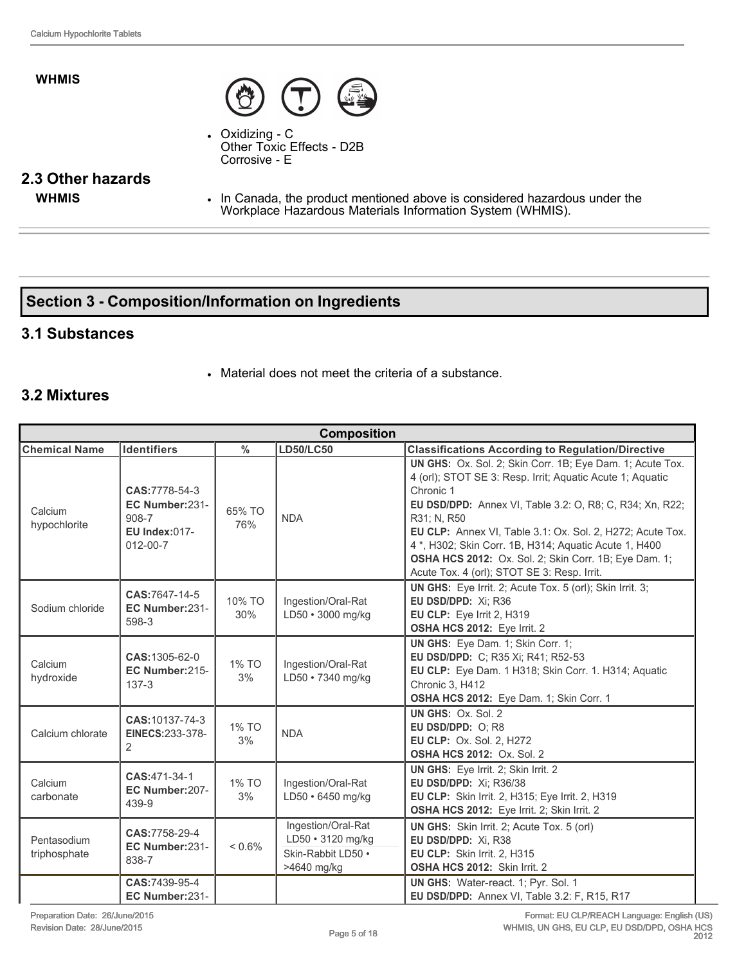#### **WHMIS**



 $\bullet$  Oxidizing  $\text{-} C$ Other Toxic Effects - D2B Corrosive - E

# **2.3 Other hazards**

**WHMIS** • In Canada, the product mentioned above is considered hazardous under the Workplace Hazardous Materials Information System (WHMIS).

# **Section 3 Composition/Information on Ingredients**

#### **3.1 Substances**

• Material does not meet the criteria of a substance.

#### **3.2 Mixtures**

| <b>Composition</b>          |                                                                                    |               |                                                                              |                                                                                                                                                                                                                                                                                                                                                                                                                                             |
|-----------------------------|------------------------------------------------------------------------------------|---------------|------------------------------------------------------------------------------|---------------------------------------------------------------------------------------------------------------------------------------------------------------------------------------------------------------------------------------------------------------------------------------------------------------------------------------------------------------------------------------------------------------------------------------------|
| <b>Chemical Name</b>        | <b>Identifiers</b>                                                                 | $\frac{0}{0}$ | <b>LD50/LC50</b>                                                             | <b>Classifications According to Regulation/Directive</b>                                                                                                                                                                                                                                                                                                                                                                                    |
| Calcium<br>hypochlorite     | CAS:7778-54-3<br>EC Number:231-<br>908-7<br><b>EU Index:017-</b><br>$012 - 00 - 7$ | 65% TO<br>76% | <b>NDA</b>                                                                   | UN GHS: Ox. Sol. 2; Skin Corr. 1B; Eye Dam. 1; Acute Tox.<br>4 (orl); STOT SE 3: Resp. Irrit; Aquatic Acute 1; Aquatic<br>Chronic 1<br>EU DSD/DPD: Annex VI, Table 3.2: O, R8; C, R34; Xn, R22;<br>R31; N, R50<br>EU CLP: Annex VI, Table 3.1: Ox. Sol. 2, H272; Acute Tox.<br>4*, H302; Skin Corr. 1B, H314; Aquatic Acute 1, H400<br>OSHA HCS 2012: Ox. Sol. 2; Skin Corr. 1B; Eye Dam. 1;<br>Acute Tox. 4 (orl); STOT SE 3: Resp. Irrit. |
| Sodium chloride             | CAS:7647-14-5<br>EC Number:231-<br>598-3                                           | 10% TO<br>30% | Ingestion/Oral-Rat<br>LD50 · 3000 mg/kg                                      | UN GHS: Eye Irrit. 2; Acute Tox. 5 (orl); Skin Irrit. 3;<br>EU DSD/DPD: Xi; R36<br>EU CLP: Eye Irrit 2, H319<br>OSHA HCS 2012: Eye Irrit. 2                                                                                                                                                                                                                                                                                                 |
| Calcium<br>hydroxide        | CAS:1305-62-0<br>EC Number:215-<br>$137-3$                                         | 1% TO<br>3%   | Ingestion/Oral-Rat<br>LD50 · 7340 mg/kg                                      | UN GHS: Eye Dam. 1; Skin Corr. 1;<br>EU DSD/DPD: C; R35 Xi; R41; R52-53<br>EU CLP: Eye Dam. 1 H318; Skin Corr. 1. H314; Aquatic<br>Chronic 3, H412<br>OSHA HCS 2012: Eye Dam. 1; Skin Corr. 1                                                                                                                                                                                                                                               |
| Calcium chlorate            | CAS:10137-74-3<br>EINECS:233-378-<br>2                                             | 1% TO<br>3%   | <b>NDA</b>                                                                   | UN GHS: Ox. Sol. 2<br>EU DSD/DPD: O; R8<br>EU CLP: Ox. Sol. 2, H272<br><b>OSHA HCS 2012: Ox. Sol. 2</b>                                                                                                                                                                                                                                                                                                                                     |
| Calcium<br>carbonate        | CAS:471-34-1<br>EC Number:207-<br>439-9                                            | 1% TO<br>3%   | Ingestion/Oral-Rat<br>LD50 · 6450 mg/kg                                      | UN GHS: Eye Irrit. 2; Skin Irrit. 2<br>EU DSD/DPD: Xi; R36/38<br>EU CLP: Skin Irrit. 2, H315; Eye Irrit. 2, H319<br><b>OSHA HCS 2012:</b> Eye Irrit. 2; Skin Irrit. 2                                                                                                                                                                                                                                                                       |
| Pentasodium<br>triphosphate | CAS:7758-29-4<br>EC Number:231-<br>838-7                                           | $< 0.6\%$     | Ingestion/Oral-Rat<br>LD50 · 3120 mg/kg<br>Skin-Rabbit LD50 .<br>>4640 mg/kg | UN GHS: Skin Irrit. 2; Acute Tox. 5 (orl)<br>EU DSD/DPD: Xi, R38<br>EU CLP: Skin Irrit. 2, H315<br>OSHA HCS 2012: Skin Irrit. 2                                                                                                                                                                                                                                                                                                             |
|                             | CAS:7439-95-4<br>EC Number:231-                                                    |               |                                                                              | UN GHS: Water-react. 1; Pyr. Sol. 1<br>EU DSD/DPD: Annex VI, Table 3.2: F, R15, R17                                                                                                                                                                                                                                                                                                                                                         |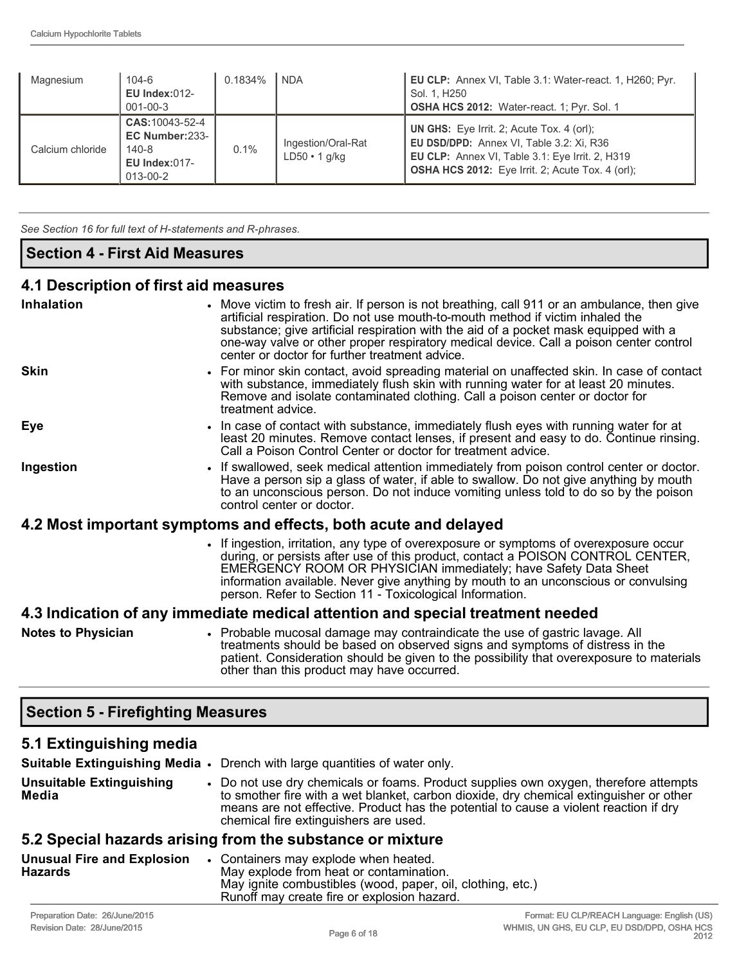| Magnesium        | $104 - 6$<br>EU Index: $012$ -<br>$001 - 00 - 3$                            | 0.1834% | <b>NDA</b>                                | <b>EU CLP:</b> Annex VI, Table 3.1: Water-react. 1, H260; Pyr.<br>Sol. 1, H250<br><b>OSHA HCS 2012:</b> Water-react. 1; Pyr. Sol. 1                                                                               |
|------------------|-----------------------------------------------------------------------------|---------|-------------------------------------------|-------------------------------------------------------------------------------------------------------------------------------------------------------------------------------------------------------------------|
| Calcium chloride | CAS: 10043-52-4<br>EC Number:233-<br>140-8<br>EU Index: $017 -$<br>013-00-2 | 0.1%    | Ingestion/Oral-Rat<br>$LD50 \cdot 1$ g/kg | <b>UN GHS:</b> Eye Irrit. 2; Acute Tox. 4 (orl);<br><b>EU DSD/DPD:</b> Annex VI, Table 3.2: Xi, R36<br>EU CLP: Annex VI, Table 3.1: Eye Irrit. 2, H319<br><b>OSHA HCS 2012:</b> Eye Irrit. 2; Acute Tox. 4 (orl); |

See Section 16 for full text of H-statements and R-phrases.

### **Section 4 First Aid Measures**

#### **4.1 Description of first aid measures**

| - - - - - <b>-</b>                                                             |                                                                                                                                                                                                                                                                                                                                                                                                                   |  |
|--------------------------------------------------------------------------------|-------------------------------------------------------------------------------------------------------------------------------------------------------------------------------------------------------------------------------------------------------------------------------------------------------------------------------------------------------------------------------------------------------------------|--|
| <b>Inhalation</b>                                                              | • Move victim to fresh air. If person is not breathing, call 911 or an ambulance, then give<br>artificial respiration. Do not use mouth-to-mouth method if victim inhaled the<br>substance; give artificial respiration with the aid of a pocket mask equipped with a<br>one-way valve or other proper respiratory medical device. Call a poison center control<br>center or doctor for further treatment advice. |  |
| <b>Skin</b>                                                                    | • For minor skin contact, avoid spreading material on unaffected skin. In case of contact<br>with substance, immediately flush skin with running water for at least 20 minutes.<br>Remove and isolate contaminated clothing. Call a poison center or doctor for<br>treatment advice.                                                                                                                              |  |
| Eye                                                                            | • In case of contact with substance, immediately flush eyes with running water for at<br>least 20 minutes. Remove contact lenses, if present and easy to do. Continue rinsing.<br>Call a Poison Control Center or doctor for treatment advice.                                                                                                                                                                    |  |
| Ingestion                                                                      | • If swallowed, seek medical attention immediately from poison control center or doctor.<br>Have a person sip a glass of water, if able to swallow. Do not give anything by mouth<br>to an unconscious person. Do not induce vomiting unless told to do so by the poison<br>control center or doctor.                                                                                                             |  |
| 4.2 Most important symptoms and effects, both acute and delayed                |                                                                                                                                                                                                                                                                                                                                                                                                                   |  |
|                                                                                | • If ingestion, irritation, any type of overexposure or symptoms of overexposure occur<br>during, or persists after use of this product, contact a POISON CONTROL CENTER,<br>EMERGENCY ROOM OR PHYSICIAN immediately; have Safety Data Sheet<br>information available. Never give anything by mouth to an unconscious or convulsing<br>person. Refer to Section 11 - Toxicological Information.                   |  |
| 4.3 Indication of any immediate medical attention and special treatment needed |                                                                                                                                                                                                                                                                                                                                                                                                                   |  |
| <b>Notes to Physician</b>                                                      | • Probable mucosal damage may contraindicate the use of gastric lavage. All<br>treatments should be based on observed signs and symptoms of distress in the<br>patient. Consideration should be given to the possibility that overexposure to materials<br>other than this product may have occurred.                                                                                                             |  |

# **Section 5 Firefighting Measures**

# **5.1 Extinguishing media**

|                                                           |  | <b>Suitable Extinguishing Media •</b> Drench with large quantities of water only.                                                                                                                                                                                                                                |
|-----------------------------------------------------------|--|------------------------------------------------------------------------------------------------------------------------------------------------------------------------------------------------------------------------------------------------------------------------------------------------------------------|
| <b>Unsuitable Extinguishing</b><br>Media                  |  | • Do not use dry chemicals or foams. Product supplies own oxygen, therefore attempts<br>to smother fire with a wet blanket, carbon dioxide, dry chemical extinguisher or other<br>means are not effective. Product has the potential to cause a violent reaction if dry<br>chemical fire extinguishers are used. |
| 5.2 Special hazards arising from the substance or mixture |  |                                                                                                                                                                                                                                                                                                                  |

| • Containers may explode when heated.<br>May explode from heat or contamination.<br>May ignite combustibles (wood, paper, oil, clothing, etc.)<br>Runoff may create fire or explosion hazard. |
|-----------------------------------------------------------------------------------------------------------------------------------------------------------------------------------------------|
|                                                                                                                                                                                               |
|                                                                                                                                                                                               |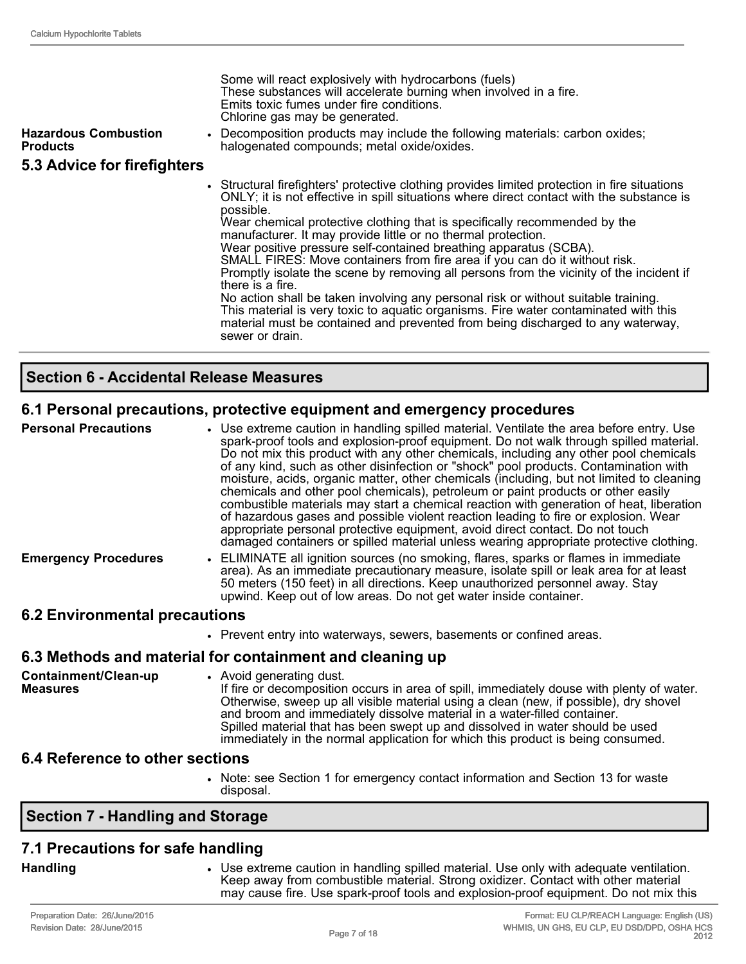| <b>Hazardous Combustion</b><br><b>Products</b> | Some will react explosively with hydrocarbons (fuels)<br>These substances will accelerate burning when involved in a fire.<br>Emits toxic fumes under fire conditions.<br>Chlorine gas may be generated.<br>• Decomposition products may include the following materials: carbon oxides;<br>halogenated compounds; metal oxide/oxides.                                                                                                                                                                                                                                                                                                                                                                                                                                                                                                                                                                    |
|------------------------------------------------|-----------------------------------------------------------------------------------------------------------------------------------------------------------------------------------------------------------------------------------------------------------------------------------------------------------------------------------------------------------------------------------------------------------------------------------------------------------------------------------------------------------------------------------------------------------------------------------------------------------------------------------------------------------------------------------------------------------------------------------------------------------------------------------------------------------------------------------------------------------------------------------------------------------|
| 5.3 Advice for firefighters                    |                                                                                                                                                                                                                                                                                                                                                                                                                                                                                                                                                                                                                                                                                                                                                                                                                                                                                                           |
|                                                | • Structural firefighters' protective clothing provides limited protection in fire situations<br>ONLY; it is not effective in spill situations where direct contact with the substance is<br>possible.<br>Wear chemical protective clothing that is specifically recommended by the<br>manufacturer. It may provide little or no thermal protection.<br>Wear positive pressure self-contained breathing apparatus (SCBA).<br>SMALL FIRES: Move containers from fire area if you can do it without risk.<br>Promptly isolate the scene by removing all persons from the vicinity of the incident if<br>there is a fire.<br>No action shall be taken involving any personal risk or without suitable training.<br>This material is very toxic to aquatic organisms. Fire water contaminated with this<br>material must be contained and prevented from being discharged to any waterway,<br>sewer or drain. |

#### **Section 6 Accidental Release Measures**

#### **6.1 Personal precautions, protective equipment and emergency procedures**

| <b>Personal Precautions</b>    | • Use extreme caution in handling spilled material. Ventilate the area before entry. Use<br>spark-proof tools and explosion-proof equipment. Do not walk through spilled material.<br>Do not mix this product with any other chemicals, including any other pool chemicals<br>of any kind, such as other disinfection or "shock" pool products. Contamination with<br>moisture, acids, organic matter, other chemicals (including, but not limited to cleaning<br>chemicals and other pool chemicals), petroleum or paint products or other easily<br>combustible materials may start a chemical reaction with generation of heat, liberation<br>of hazardous gases and possible violent reaction leading to fire or explosion. Wear<br>appropriate personal protective equipment, avoid direct contact. Do not touch<br>damaged containers or spilled material unless wearing appropriate protective clothing. |
|--------------------------------|-----------------------------------------------------------------------------------------------------------------------------------------------------------------------------------------------------------------------------------------------------------------------------------------------------------------------------------------------------------------------------------------------------------------------------------------------------------------------------------------------------------------------------------------------------------------------------------------------------------------------------------------------------------------------------------------------------------------------------------------------------------------------------------------------------------------------------------------------------------------------------------------------------------------|
| <b>Emergency Procedures</b>    | • ELIMINATE all ignition sources (no smoking, flares, sparks or flames in immediate<br>area). As an immediate precautionary measure, isolate spill or leak area for at least<br>50 meters (150 feet) in all directions. Keep unauthorized personnel away. Stay<br>upwind. Keep out of low areas. Do not get water inside container.                                                                                                                                                                                                                                                                                                                                                                                                                                                                                                                                                                             |
| 6.2 Environmental presquitions |                                                                                                                                                                                                                                                                                                                                                                                                                                                                                                                                                                                                                                                                                                                                                                                                                                                                                                                 |

#### **6.2 Environmental precautions**

• Prevent entry into waterways, sewers, basements or confined areas.

#### **6.3 Methods and material for containment and cleaning up**

**Containment/Clean-up Measures** • Avoid generating dust. If fire or decomposition occurs in area of spill, immediately douse with plenty of water. Otherwise, sweep up all visible material using a clean (new, if possible), dry shovel and broom and immediately dissolve material in a water-filled container. Spilled material that has been swept up and dissolved in water should be used immediately in the normal application for which this product is being consumed.

#### **6.4 Reference to other sections**

• Note: see Section 1 for emergency contact information and Section 13 for waste disposal.

### **Section 7 Handling and Storage**

# **7.1 Precautions for safe handling**

**Handling** • Use extreme caution in handling spilled material. Use only with adequate ventilation. Keep away from combustible material. Strong oxidizer. Contact with other material may cause fire. Use spark-proof tools and explosion-proof equipment. Do not mix this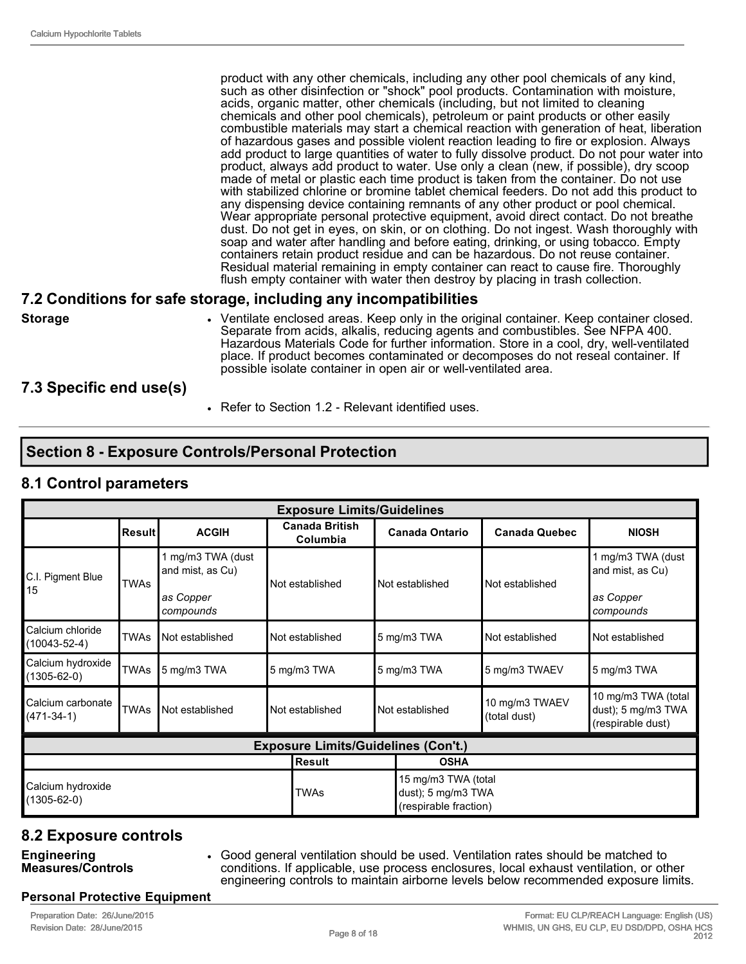product with any other chemicals, including any other pool chemicals of any kind, such as other disinfection or "shock" pool products. Contamination with moisture, acids, organic matter, other chemicals (including, but not limited to cleaning chemicals and other pool chemicals), petroleum or paint products or other easily combustible materials may start a chemical reaction with generation of heat, liberation of hazardous gases and possible violent reaction leading to fire or explosion. Always add product to large quantities of water to fully dissolve product. Do not pour water into product, always add product to water. Use only a clean (new, if possible), dry scoop made of metal or plastic each time product is taken from the container. Do not use with stabilized chlorine or bromine tablet chemical feeders. Do not add this product to any dispensing device containing remnants of any other product or pool chemical. Wear appropriate personal protective equipment, avoid direct contact. Do not breathe dust. Do not get in eyes, on skin, or on clothing. Do not ingest. Wash thoroughly with soap and water after handling and before eating, drinking, or using tobacco. Empty containers retain product residue and can be hazardous. Do not reuse container. Residual material remaining in empty container can react to cause fire. Thoroughly flush empty container with water then destroy by placing in trash collection.

#### **7.2 Conditions for safe storage, including any incompatibilities**

**Storage** • Ventilate enclosed areas. Keep only in the original container. Keep container closed. Separate from acids, alkalis, reducing agents and combustibles. See NFPA 400. Hazardous Materials Code for further information. Store in a cool, dry, wellventilated place. If product becomes contaminated or decomposes do not reseal container. If possible isolate container in open air or well-ventilated area.

#### **7.3 Specific end use(s)**

• Refer to Section 1.2 - Relevant identified uses.

# **Section 8 Exposure Controls/Personal Protection**

#### **8.1 Control parameters**

|                                        | <b>Exposure Limits/Guidelines</b> |                                                                 |  |                                            |  |                                                                    |                                |                                                                 |
|----------------------------------------|-----------------------------------|-----------------------------------------------------------------|--|--------------------------------------------|--|--------------------------------------------------------------------|--------------------------------|-----------------------------------------------------------------|
|                                        | <b>Result</b>                     | <b>ACGIH</b>                                                    |  | <b>Canada British</b><br>Columbia          |  | <b>Canada Ontario</b>                                              | <b>Canada Quebec</b>           | <b>NIOSH</b>                                                    |
| C.I. Pigment Blue<br>15                | <b>TWAs</b>                       | 1 mg/m3 TWA (dust<br>and mist, as Cu)<br>as Copper<br>compounds |  | Not established                            |  | Not established                                                    | Not established                | 1 mg/m3 TWA (dust<br>and mist, as Cu)<br>as Copper<br>compounds |
| Calcium chloride<br>$(10043 - 52 - 4)$ | <b>TWAs</b>                       | Not established                                                 |  | Not established                            |  | 5 mg/m3 TWA                                                        | Not established                | Not established                                                 |
| Calcium hydroxide<br>$(1305 - 62 - 0)$ | <b>TWAs</b>                       | 5 mg/m3 TWA                                                     |  | 5 mg/m3 TWA                                |  | 5 mg/m3 TWA                                                        | 5 mg/m3 TWAEV                  | 5 mg/m3 TWA                                                     |
| Calcium carbonate<br>$(471-34-1)$      | <b>TWAs</b>                       | Not established                                                 |  | Not established                            |  | Not established                                                    | 10 mg/m3 TWAEV<br>(total dust) | 10 mg/m3 TWA (total<br>dust); 5 mg/m3 TWA<br>(respirable dust)  |
|                                        |                                   |                                                                 |  | <b>Exposure Limits/Guidelines (Con't.)</b> |  |                                                                    |                                |                                                                 |
|                                        |                                   |                                                                 |  | <b>Result</b>                              |  | <b>OSHA</b>                                                        |                                |                                                                 |
| Calcium hydroxide<br>$(1305 - 62 - 0)$ |                                   |                                                                 |  | <b>TWAs</b>                                |  | 15 mg/m3 TWA (total<br>dust); 5 mg/m3 TWA<br>(respirable fraction) |                                |                                                                 |

# **8.2 Exposure controls**

**Engineering Measures/Controls** • Good general ventilation should be used. Ventilation rates should be matched to conditions. If applicable, use process enclosures, local exhaust ventilation, or other engineering controls to maintain airborne levels below recommended exposure limits.

#### **Personal Protective Equipment**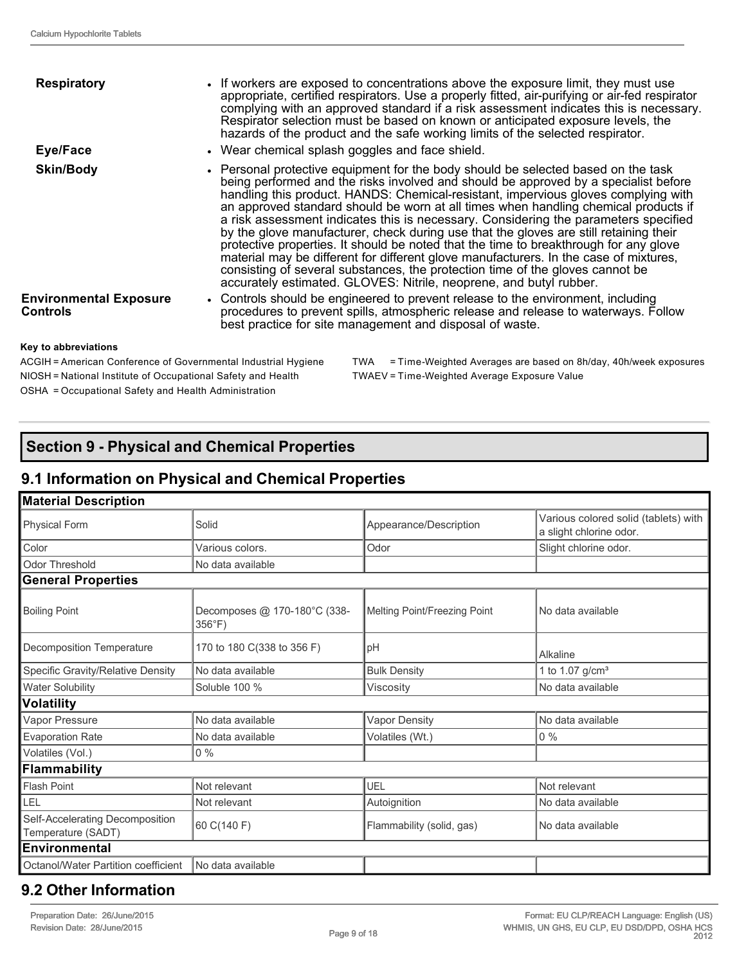| <b>Respiratory</b>                        | • If workers are exposed to concentrations above the exposure limit, they must use<br>appropriate, certified respirators. Use a properly fitted, air-purifying or air-fed respirator<br>complying with an approved standard if a risk assessment indicates this is necessary.<br>Respirator selection must be based on known or anticipated exposure levels, the<br>hazards of the product and the safe working limits of the selected respirator.                                                                                                                                                                                                                                                                                                                                                                                                                              |
|-------------------------------------------|---------------------------------------------------------------------------------------------------------------------------------------------------------------------------------------------------------------------------------------------------------------------------------------------------------------------------------------------------------------------------------------------------------------------------------------------------------------------------------------------------------------------------------------------------------------------------------------------------------------------------------------------------------------------------------------------------------------------------------------------------------------------------------------------------------------------------------------------------------------------------------|
| Eye/Face                                  | • Wear chemical splash goggles and face shield.                                                                                                                                                                                                                                                                                                                                                                                                                                                                                                                                                                                                                                                                                                                                                                                                                                 |
| <b>Skin/Body</b>                          | • Personal protective equipment for the body should be selected based on the task<br>being performed and the risks involved and should be approved by a specialist before<br>handling this product. HANDS: Chemical-resistant, impervious gloves complying with<br>an approved standard should be worn at all times when handling chemical products if<br>a risk assessment indicates this is necessary. Considering the parameters specified<br>by the glove manufacturer, check during use that the gloves are still retaining their<br>protective properties. It should be noted that the time to breakthrough for any glove<br>material may be different for different glove manufacturers. In the case of mixtures,<br>consisting of several substances, the protection time of the gloves cannot be<br>accurately estimated. GLOVES: Nitrile, neoprene, and butyl rubber. |
| <b>Environmental Exposure</b><br>Controls | • Controls should be engineered to prevent release to the environment, including<br>procedures to prevent spills, atmospheric release and release to waterways. Follow<br>best practice for site management and disposal of waste.                                                                                                                                                                                                                                                                                                                                                                                                                                                                                                                                                                                                                                              |
|                                           |                                                                                                                                                                                                                                                                                                                                                                                                                                                                                                                                                                                                                                                                                                                                                                                                                                                                                 |

#### **Key to abbreviations**

NIOSH = National Institute of Occupational Safety and Health TWAEV = Time-Weighted Average Exposure Value OSHA = Occupational Safety and Health Administration

ACGIH = American Conference of Governmental Industrial Hygiene TWA = Time-Weighted Averages are based on 8h/day, 40h/week exposures

# **Section 9 Physical and Chemical Properties**

# **9.1 Information on Physical and Chemical Properties**

| <b>Material Description</b>                           |                                                  |                              |                                                                 |
|-------------------------------------------------------|--------------------------------------------------|------------------------------|-----------------------------------------------------------------|
| <b>Physical Form</b>                                  | Solid                                            | Appearance/Description       | Various colored solid (tablets) with<br>a slight chlorine odor. |
| Color                                                 | Various colors.                                  | Odor                         | Slight chlorine odor.                                           |
| <b>Odor Threshold</b>                                 | No data available                                |                              |                                                                 |
| <b>General Properties</b>                             |                                                  |                              |                                                                 |
| <b>Boiling Point</b>                                  | Decomposes @ 170-180°C (338-<br>$356^{\circ}F$ ) | Melting Point/Freezing Point | No data available                                               |
| Decomposition Temperature                             | 170 to 180 C(338 to 356 F)                       | pH                           | Alkaline                                                        |
| Specific Gravity/Relative Density                     | No data available                                | <b>Bulk Density</b>          | 1 to 1.07 $g/cm^{3}$                                            |
| <b>Water Solubility</b>                               | Soluble 100 %                                    | Viscosity                    | No data available                                               |
| <b>Volatility</b>                                     |                                                  |                              |                                                                 |
| Vapor Pressure                                        | No data available                                | <b>Vapor Density</b>         | No data available                                               |
| <b>Evaporation Rate</b>                               | No data available                                | Volatiles (Wt.)              | $0\%$                                                           |
| Volatiles (Vol.)                                      | $0\%$                                            |                              |                                                                 |
| Flammability                                          |                                                  |                              |                                                                 |
| Flash Point                                           | Not relevant                                     | UEL                          | Not relevant                                                    |
| LEL                                                   | Not relevant                                     | Autoignition                 | No data available                                               |
| Self-Accelerating Decomposition<br>Temperature (SADT) | 60 C(140 F)                                      | Flammability (solid, gas)    | No data available                                               |
| <b>Environmental</b>                                  |                                                  |                              |                                                                 |
| Octanol/Water Partition coefficient                   | No data available                                |                              |                                                                 |

# **9.2 Other Information**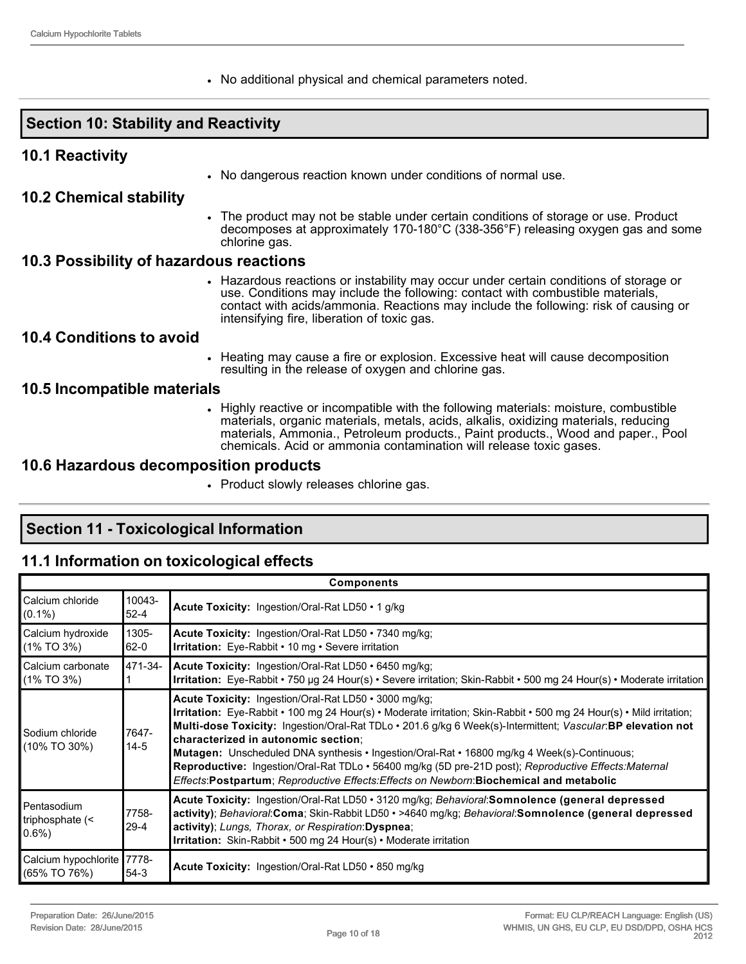• No additional physical and chemical parameters noted.

### **Section 10: Stability and Reactivity**

#### **10.1 Reactivity**

• No dangerous reaction known under conditions of normal use.

#### **10.2 Chemical stability**

• The product may not be stable under certain conditions of storage or use. Product decomposes at approximately 170-180°C (338-356°F) releasing oxygen gas and some chlorine gas.

#### **10.3 Possibility of hazardous reactions**

• Hazardous reactions or instability may occur under certain conditions of storage or use. Conditions may include the following: contact with combustible materials, contact with acids/ammonia. Reactions may include the following: risk of causing or intensifying fire, liberation of toxic gas.

#### **10.4 Conditions to avoid**

• Heating may cause a fire or explosion. Excessive heat will cause decomposition resulting in the release of oxygen and chlorine gas.

#### **10.5 Incompatible materials**

• Highly reactive or incompatible with the following materials: moisture, combustible materials, organic materials, metals, acids, alkalis, oxidizing materials, reducing materials, Ammonia., Petroleum products., Paint products., Wood and paper., Pool chemicals. Acid or ammonia contamination will release toxic gases.

#### **10.6 Hazardous decomposition products**

• Product slowly releases chlorine gas.

# **Section 11 Toxicological Information**

#### **11.1 Information on toxicological effects**

|                                            |                    | <b>Components</b>                                                                                                                                                                                                                                                                                                                                                                                                                                                                                                                                                                                                                              |
|--------------------------------------------|--------------------|------------------------------------------------------------------------------------------------------------------------------------------------------------------------------------------------------------------------------------------------------------------------------------------------------------------------------------------------------------------------------------------------------------------------------------------------------------------------------------------------------------------------------------------------------------------------------------------------------------------------------------------------|
| Calcium chloride<br>$(0.1\%)$              | 10043-<br>$52 - 4$ | Acute Toxicity: Ingestion/Oral-Rat LD50 • 1 g/kg                                                                                                                                                                                                                                                                                                                                                                                                                                                                                                                                                                                               |
| Calcium hydroxide<br>(1% TO 3%)            | 1305-<br>$62 - 0$  | Acute Toxicity: Ingestion/Oral-Rat LD50 • 7340 mg/kg;<br><b>Irritation:</b> Eye-Rabbit • 10 mg • Severe irritation                                                                                                                                                                                                                                                                                                                                                                                                                                                                                                                             |
| Calcium carbonate<br>(1% TO 3%)            | 471-34-            | Acute Toxicity: Ingestion/Oral-Rat LD50 · 6450 mg/kg;<br>Irritation: Eye-Rabbit • 750 µg 24 Hour(s) • Severe irritation; Skin-Rabbit • 500 mg 24 Hour(s) • Moderate irritation                                                                                                                                                                                                                                                                                                                                                                                                                                                                 |
| Sodium chloride<br>(10% TO 30%)            | 7647-<br>$14-5$    | Acute Toxicity: Ingestion/Oral-Rat LD50 • 3000 mg/kg;<br>Irritation: Eye-Rabbit • 100 mg 24 Hour(s) • Moderate irritation; Skin-Rabbit • 500 mg 24 Hour(s) • Mild irritation;<br>Multi-dose Toxicity: Ingestion/Oral-Rat TDLo · 201.6 g/kg 6 Week(s)-Intermittent; Vascular:BP elevation not<br>characterized in autonomic section;<br><b>Mutagen:</b> Unscheduled DNA synthesis • Ingestion/Oral-Rat • 16800 mg/kg 4 Week(s)-Continuous;<br>Reproductive: Ingestion/Oral-Rat TDLo · 56400 mg/kg (5D pre-21D post); Reproductive Effects: Maternal<br>Effects: Postpartum; Reproductive Effects: Effects on Newborn: Biochemical and metabolic |
| Pentasodium<br>triphosphate $($<br>$0.6\%$ | 7758-<br>29-4      | Acute Toxicity: Ingestion/Oral-Rat LD50 · 3120 mg/kg; Behavioral:Somnolence (general depressed<br>activity); Behavioral:Coma; Skin-Rabbit LD50 · >4640 mg/kg; Behavioral:Somnolence (general depressed<br>activity); Lungs, Thorax, or Respiration: Dyspnea;<br>Irritation: Skin-Rabbit • 500 mg 24 Hour(s) • Moderate irritation                                                                                                                                                                                                                                                                                                              |
| Calcium hypochlorite 7778-<br>(65% TO 76%) | $54-3$             | Acute Toxicity: Ingestion/Oral-Rat LD50 • 850 mg/kg                                                                                                                                                                                                                                                                                                                                                                                                                                                                                                                                                                                            |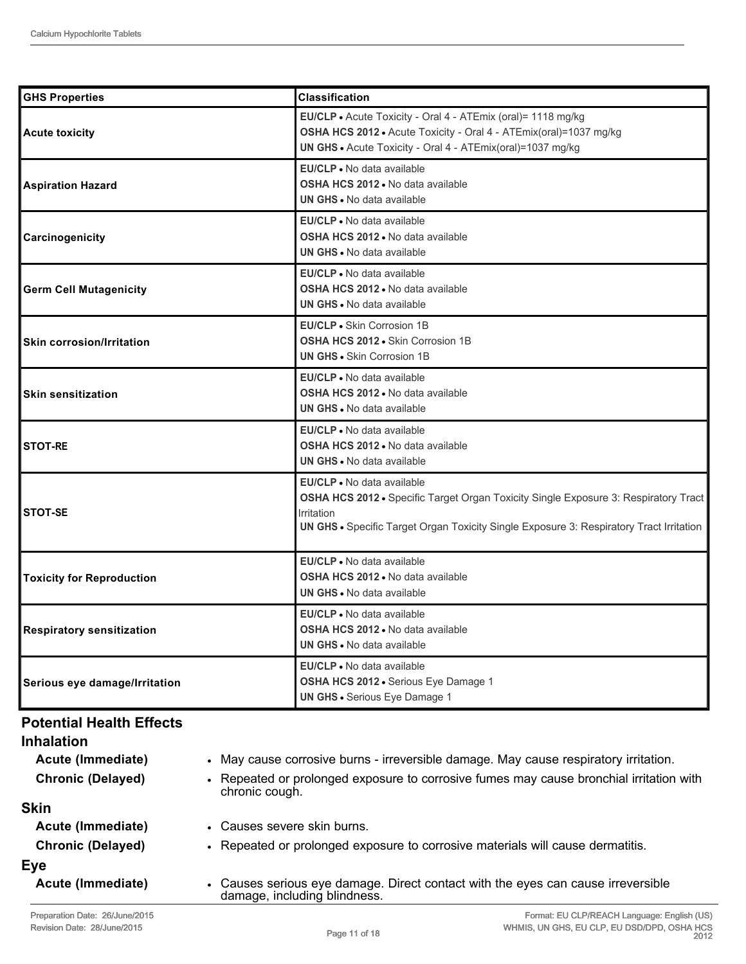| <b>GHS Properties</b>            | <b>Classification</b>                                                                                                                                                                                                      |
|----------------------------------|----------------------------------------------------------------------------------------------------------------------------------------------------------------------------------------------------------------------------|
| <b>Acute toxicity</b>            | EU/CLP . Acute Toxicity - Oral 4 - ATEmix (oral)= 1118 mg/kg<br>OSHA HCS 2012 · Acute Toxicity - Oral 4 - ATEmix(oral)=1037 mg/kg<br>UN GHS . Acute Toxicity - Oral 4 - ATEmix(oral)=1037 mg/kg                            |
| <b>Aspiration Hazard</b>         | EU/CLP . No data available<br>OSHA HCS 2012 . No data available<br><b>UN GHS - No data available</b>                                                                                                                       |
| Carcinogenicity                  | EU/CLP • No data available<br><b>OSHA HCS 2012 • No data available</b><br><b>UN GHS • No data available</b>                                                                                                                |
| <b>Germ Cell Mutagenicity</b>    | <b>EU/CLP</b> • No data available<br><b>OSHA HCS 2012 • No data available</b><br><b>UN GHS • No data available</b>                                                                                                         |
| <b>Skin corrosion/Irritation</b> | <b>EU/CLP - Skin Corrosion 1B</b><br><b>OSHA HCS 2012 - Skin Corrosion 1B</b><br><b>UN GHS - Skin Corrosion 1B</b>                                                                                                         |
| <b>Skin sensitization</b>        | EU/CLP • No data available<br><b>OSHA HCS 2012 • No data available</b><br>UN GHS • No data available                                                                                                                       |
| <b>STOT-RE</b>                   | EU/CLP • No data available<br><b>OSHA HCS 2012 .</b> No data available<br>UN GHS . No data available                                                                                                                       |
| STOT-SE                          | EU/CLP • No data available<br>OSHA HCS 2012 • Specific Target Organ Toxicity Single Exposure 3: Respiratory Tract<br>Irritation<br>UN GHS • Specific Target Organ Toxicity Single Exposure 3: Respiratory Tract Irritation |
| <b>Toxicity for Reproduction</b> | EU/CLP • No data available<br><b>OSHA HCS 2012 • No data available</b><br><b>UN GHS - No data available</b>                                                                                                                |
| <b>Respiratory sensitization</b> | EU/CLP • No data available<br><b>OSHA HCS 2012 • No data available</b><br>UN GHS . No data available                                                                                                                       |
| Serious eye damage/Irritation    | <b>EU/CLP</b> • No data available<br>OSHA HCS 2012 · Serious Eye Damage 1<br><b>UN GHS · Serious Eye Damage 1</b>                                                                                                          |

#### **Potential Health Effects**

| <b>Inhalation</b>        |                                                                                                                  |
|--------------------------|------------------------------------------------------------------------------------------------------------------|
| Acute (Immediate)        | • May cause corrosive burns - irreversible damage. May cause respiratory irritation.                             |
| <b>Chronic (Delayed)</b> | • Repeated or prolonged exposure to corrosive fumes may cause bronchial irritation with<br>chronic cough.        |
| <b>Skin</b>              |                                                                                                                  |
| Acute (Immediate)        | • Causes severe skin burns.                                                                                      |
| <b>Chronic (Delayed)</b> | • Repeated or prolonged exposure to corrosive materials will cause dermatitis.                                   |
| Eye                      |                                                                                                                  |
| Acute (Immediate)        | • Causes serious eye damage. Direct contact with the eyes can cause irreversible<br>damage, including blindness. |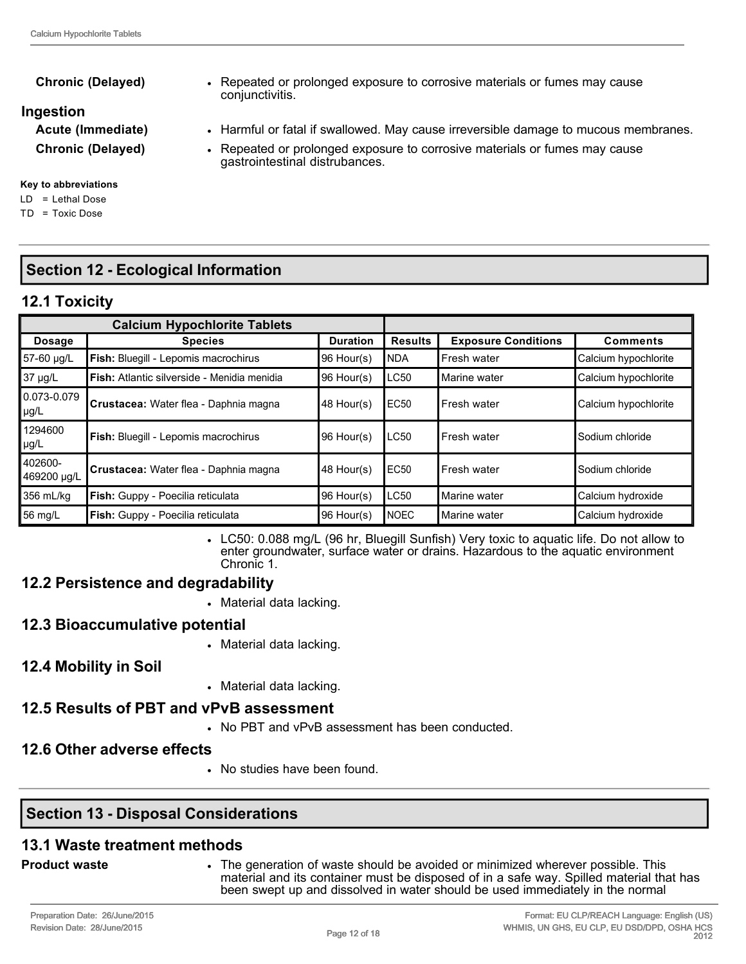#### **Chronic (Delayed)** • Repeated or prolonged exposure to corrosive materials or fumes may cause

#### **Ingestion**

**Acute (Immediate)** • Harmful or fatal if swallowed. May cause irreversible damage to mucous membranes.

**Chronic (Delayed)** • Repeated or prolonged exposure to corrosive materials or fumes may cause

#### **Key to abbreviations**

LD = Lethal Dose

TD = Toxic Dose

# **Section 12 Ecological Information**

# **12.1 Toxicity**

|                        | <b>Calcium Hypochlorite Tablets</b>         |                 |                  |                            |                      |
|------------------------|---------------------------------------------|-----------------|------------------|----------------------------|----------------------|
| <b>Dosage</b>          | <b>Species</b>                              | <b>Duration</b> | <b>Results</b>   | <b>Exposure Conditions</b> | <b>Comments</b>      |
| 57-60 µg/L             | Fish: Bluegill - Lepomis macrochirus        | 96 Hour(s)      | <b>NDA</b>       | Fresh water                | Calcium hypochlorite |
| 37 µg/L                | Fish: Atlantic silverside - Menidia menidia | 96 Hour(s)      | LC50             | Marine water               | Calcium hypochlorite |
| 0.073-0.079<br> µg/L   | Crustacea: Water flea - Daphnia magna       | 48 Hour(s)      | EC <sub>50</sub> | l Fresh water              | Calcium hypochlorite |
| 1294600<br>µg/L        | Fish: Bluegill - Lepomis macrochirus        | 96 Hour(s)      | LC50             | l Fresh water              | Sodium chloride      |
| 402600-<br>469200 ug/L | Crustacea: Water flea - Daphnia magna       | 48 Hour(s)      | <b>EC50</b>      | Fresh water                | Sodium chloride      |
| 356 mL/kg              | Fish: Guppy - Poecilia reticulata           | 96 Hour(s)      | LC50             | Marine water               | Calcium hydroxide    |
| 56 mg/L                | Fish: Guppy - Poecilia reticulata           | 96 Hour(s)      | <b>NOEC</b>      | Marine water               | Calcium hydroxide    |

• LC50: 0.088 mg/L (96 hr, Bluegill Sunfish) Very toxic to aquatic life. Do not allow to enter groundwater, surface water or drains. Hazardous to the aquatic environment Chronic 1.

### **12.2 Persistence and degradability**

• Material data lacking.

conjunctivitis.

gastrointestinal distrubances.

- **12.3 Bioaccumulative potential**
	- Material data lacking.
- **12.4 Mobility in Soil**
- Material data lacking.

#### **12.5 Results of PBT and vPvB assessment**

• No PBT and vPvB assessment has been conducted.

#### **12.6 Other adverse effects**

• No studies have been found.

### **Section 13 Disposal Considerations**

#### **13.1 Waste treatment methods**

- 
- **Product waste •** The generation of waste should be avoided or minimized wherever possible. This material and its container must be disposed of in a safe way. Spilled material that has been swept up and dissolved in water should be used immediately in the normal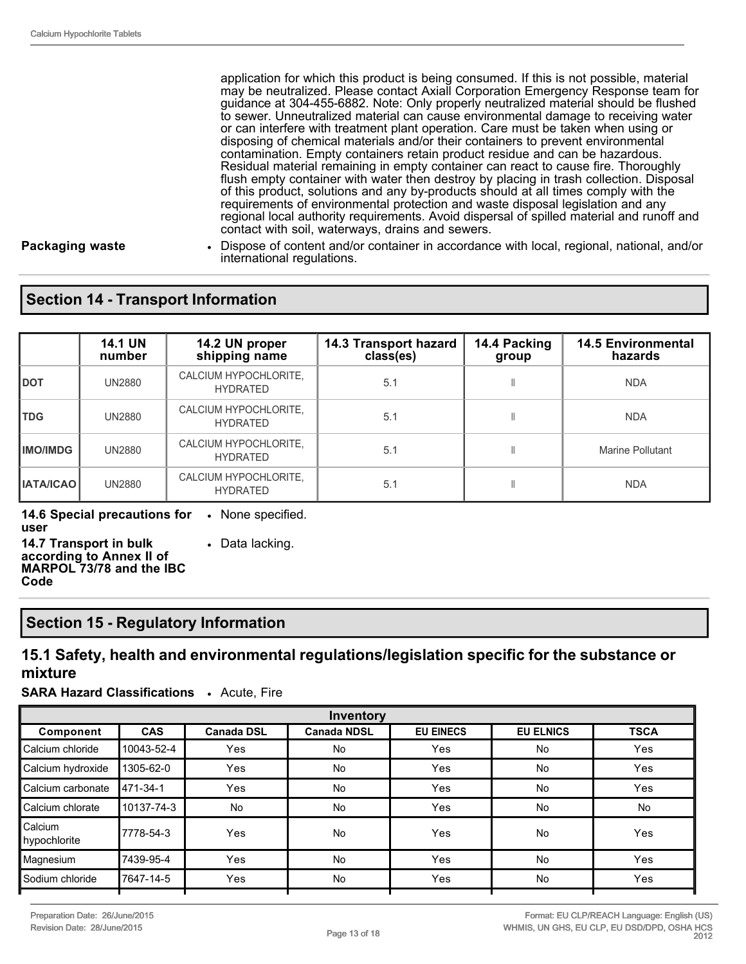application for which this product is being consumed. If this is not possible, material may be neutralized. Please contact Axiall Corporation Emergency Response team for guidance at 3044556882. Note: Only properly neutralized material should be flushed to sewer. Unneutralized material can cause environmental damage to receiving water or can interfere with treatment plant operation. Care must be taken when using or disposing of chemical materials and/or their containers to prevent environmental contamination. Empty containers retain product residue and can be hazardous. Residual material remaining in empty container can react to cause fire. Thoroughly flush empty container with water then destroy by placing in trash collection. Disposal of this product, solutions and any by-products should at all times comply with the requirements of environmental protection and waste disposal legislation and any regional local authority requirements. Avoid dispersal of spilled material and runoff and contact with soil, waterways, drains and sewers.

**Packaging waste** • Dispose of content and/or container in accordance with local, regional, national, and/or international regulations.

#### **Section 14 Transport Information**

|                  | <b>14.1 UN</b><br>number | 14.2 UN proper<br>shipping name          | 14.3 Transport hazard<br>class(es) | 14.4 Packing<br>group | <b>14.5 Environmental</b><br>hazards |
|------------------|--------------------------|------------------------------------------|------------------------------------|-----------------------|--------------------------------------|
| <b>DOT</b>       | <b>UN2880</b>            | CALCIUM HYPOCHLORITE,<br><b>HYDRATED</b> | 5.1                                |                       | <b>NDA</b>                           |
| <b>TDG</b>       | <b>UN2880</b>            | CALCIUM HYPOCHLORITE,<br><b>HYDRATED</b> | 5.1                                |                       | <b>NDA</b>                           |
| <b>IMO/IMDG</b>  | <b>UN2880</b>            | CALCIUM HYPOCHLORITE,<br><b>HYDRATED</b> | 5.1                                |                       | Marine Pollutant                     |
| <b>IATA/ICAO</b> | <b>UN2880</b>            | CALCIUM HYPOCHLORITE,<br><b>HYDRATED</b> | 5.1                                |                       | <b>NDA</b>                           |

**14.6 Special precautions for**  • None specified. **user**

• Data lacking.

**14.7 Transport in bulk according to Annex II of MARPOL 73/78 and the IBC Code**

#### **Section 15 Regulatory Information**

#### **15.1 Safety, health and environmental regulations/legislation specific for the substance or mixture**

**SARA Hazard Classifications** • Acute, Fire

| Inventory               |            |                   |                    |                  |                  |             |
|-------------------------|------------|-------------------|--------------------|------------------|------------------|-------------|
| Component               | <b>CAS</b> | <b>Canada DSL</b> | <b>Canada NDSL</b> | <b>EU EINECS</b> | <b>EU ELNICS</b> | <b>TSCA</b> |
| Calcium chloride        | 10043-52-4 | Yes               | No                 | Yes              | <b>No</b>        | Yes         |
| Calcium hydroxide       | 1305-62-0  | Yes               | No                 | Yes              | <b>No</b>        | Yes         |
| Calcium carbonate       | 471-34-1   | Yes               | <b>No</b>          | Yes              | <b>No</b>        | Yes         |
| Calcium chlorate        | 10137-74-3 | <b>No</b>         | <b>No</b>          | Yes              | <b>No</b>        | No          |
| Calcium<br>hypochlorite | 7778-54-3  | Yes               | No                 | Yes              | <b>No</b>        | Yes         |
| Magnesium               | 7439-95-4  | Yes               | No                 | Yes              | <b>No</b>        | Yes         |
| Sodium chloride         | 7647-14-5  | Yes               | No                 | Yes              | <b>No</b>        | Yes         |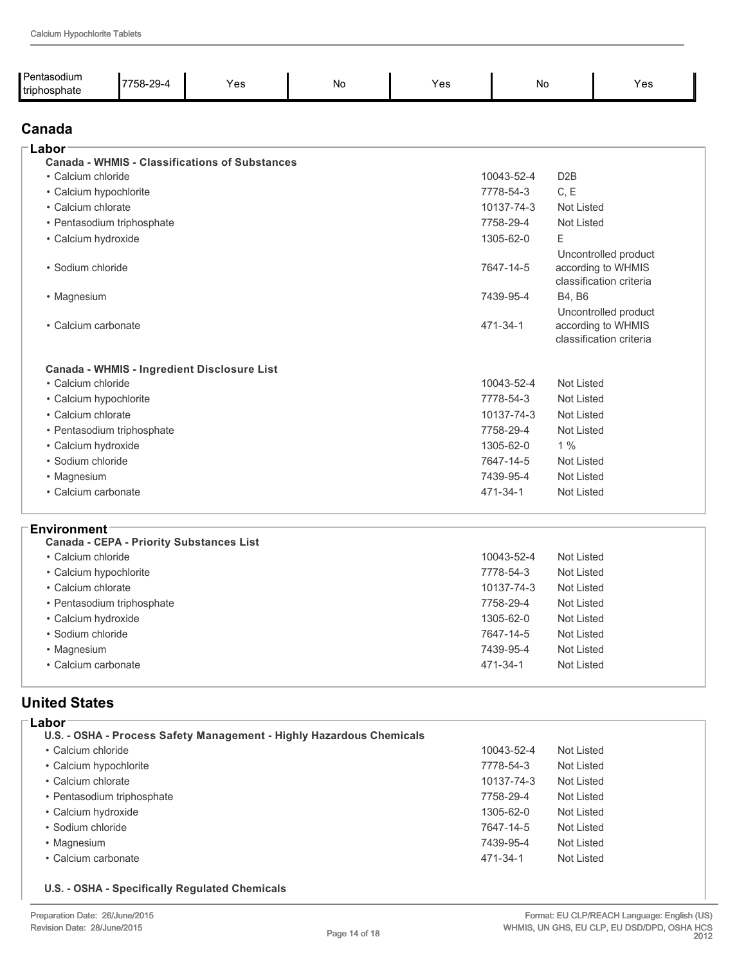| Pentasodium<br>triphosphate | 7758-29-4                  | Yes                                                   | No | Yes | <b>No</b>  |                   | Yes                                                                   |
|-----------------------------|----------------------------|-------------------------------------------------------|----|-----|------------|-------------------|-----------------------------------------------------------------------|
| Canada                      |                            |                                                       |    |     |            |                   |                                                                       |
| Labor                       |                            |                                                       |    |     |            |                   |                                                                       |
|                             |                            | <b>Canada - WHMIS - Classifications of Substances</b> |    |     |            |                   |                                                                       |
| • Calcium chloride          |                            |                                                       |    |     | 10043-52-4 | D <sub>2</sub> B  |                                                                       |
| • Calcium hypochlorite      |                            |                                                       |    |     | 7778-54-3  | C, E              |                                                                       |
| • Calcium chlorate          |                            |                                                       |    |     | 10137-74-3 | Not Listed        |                                                                       |
|                             | • Pentasodium triphosphate |                                                       |    |     | 7758-29-4  | Not Listed        |                                                                       |
| · Calcium hydroxide         |                            |                                                       |    |     | 1305-62-0  | E                 |                                                                       |
| · Sodium chloride           |                            |                                                       |    |     | 7647-14-5  |                   | Uncontrolled product<br>according to WHMIS<br>classification criteria |
| • Magnesium                 |                            |                                                       |    |     | 7439-95-4  | B4. B6            |                                                                       |
| • Calcium carbonate         |                            |                                                       |    |     | 471-34-1   |                   | Uncontrolled product<br>according to WHMIS<br>classification criteria |
|                             |                            | Canada - WHMIS - Ingredient Disclosure List           |    |     |            |                   |                                                                       |
| • Calcium chloride          |                            |                                                       |    |     | 10043-52-4 | Not Listed        |                                                                       |
| • Calcium hypochlorite      |                            |                                                       |    |     | 7778-54-3  | Not Listed        |                                                                       |
| • Calcium chlorate          |                            |                                                       |    |     | 10137-74-3 | <b>Not Listed</b> |                                                                       |
|                             | • Pentasodium triphosphate |                                                       |    |     | 7758-29-4  | <b>Not Listed</b> |                                                                       |
| · Calcium hydroxide         |                            |                                                       |    |     | 1305-62-0  | 1%                |                                                                       |
| · Sodium chloride           |                            |                                                       |    |     | 7647-14-5  | <b>Not Listed</b> |                                                                       |
| • Magnesium                 |                            |                                                       |    |     | 7439-95-4  | Not Listed        |                                                                       |
| • Calcium carbonate         |                            |                                                       |    |     | 471-34-1   | <b>Not Listed</b> |                                                                       |

#### **Environment**

| <b>Canada - CEPA - Priority Substances List</b> |            |            |
|-------------------------------------------------|------------|------------|
| • Calcium chloride                              | 10043-52-4 | Not Listed |
| • Calcium hypochlorite                          | 7778-54-3  | Not Listed |
| • Calcium chlorate                              | 10137-74-3 | Not Listed |
| • Pentasodium triphosphate                      | 7758-29-4  | Not Listed |
| • Calcium hydroxide                             | 1305-62-0  | Not Listed |
| • Sodium chloride                               | 7647-14-5  | Not Listed |
| • Magnesium                                     | 7439-95-4  | Not Listed |
| • Calcium carbonate                             | 471-34-1   | Not Listed |
|                                                 |            |            |

### **United States**

| Labor                                                                |            |            |  |
|----------------------------------------------------------------------|------------|------------|--|
| U.S. - OSHA - Process Safety Management - Highly Hazardous Chemicals |            |            |  |
| • Calcium chloride                                                   | 10043-52-4 | Not Listed |  |
| • Calcium hypochlorite                                               | 7778-54-3  | Not Listed |  |
| • Calcium chlorate                                                   | 10137-74-3 | Not Listed |  |
| • Pentasodium triphosphate                                           | 7758-29-4  | Not Listed |  |
| • Calcium hydroxide                                                  | 1305-62-0  | Not Listed |  |
| • Sodium chloride                                                    | 7647-14-5  | Not Listed |  |
| • Magnesium                                                          | 7439-95-4  | Not Listed |  |
| • Calcium carbonate                                                  | 471-34-1   | Not Listed |  |
|                                                                      |            |            |  |

#### **U.S. OSHA Specifically Regulated Chemicals**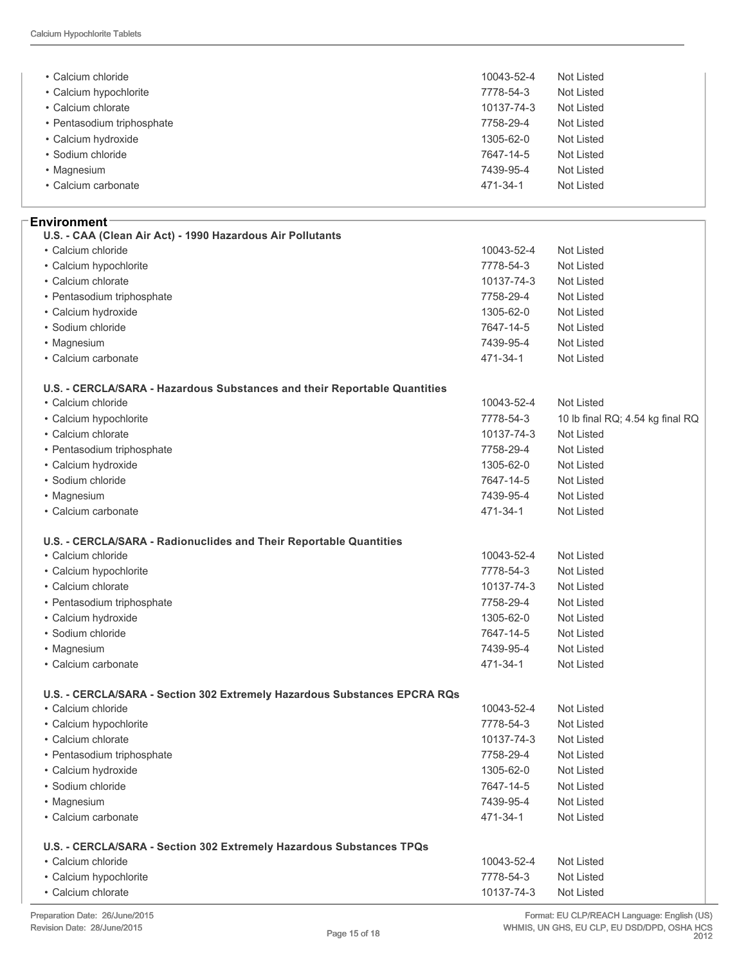| • Calcium chloride                                                        | 10043-52-4 | <b>Not Listed</b>                |
|---------------------------------------------------------------------------|------------|----------------------------------|
| • Calcium hypochlorite                                                    | 7778-54-3  | <b>Not Listed</b>                |
| • Calcium chlorate                                                        | 10137-74-3 | <b>Not Listed</b>                |
| • Pentasodium triphosphate                                                | 7758-29-4  | <b>Not Listed</b>                |
| • Calcium hydroxide                                                       | 1305-62-0  | <b>Not Listed</b>                |
| · Sodium chloride                                                         | 7647-14-5  | <b>Not Listed</b>                |
| • Magnesium                                                               | 7439-95-4  | <b>Not Listed</b>                |
| • Calcium carbonate                                                       | 471-34-1   | <b>Not Listed</b>                |
| Environment⊺                                                              |            |                                  |
| U.S. - CAA (Clean Air Act) - 1990 Hazardous Air Pollutants                |            |                                  |
| • Calcium chloride                                                        | 10043-52-4 | <b>Not Listed</b>                |
| • Calcium hypochlorite                                                    | 7778-54-3  | <b>Not Listed</b>                |
| • Calcium chlorate                                                        | 10137-74-3 | <b>Not Listed</b>                |
| • Pentasodium triphosphate                                                | 7758-29-4  | <b>Not Listed</b>                |
| · Calcium hydroxide                                                       | 1305-62-0  | <b>Not Listed</b>                |
| · Sodium chloride                                                         | 7647-14-5  | <b>Not Listed</b>                |
| • Magnesium                                                               | 7439-95-4  | <b>Not Listed</b>                |
| • Calcium carbonate                                                       | 471-34-1   | <b>Not Listed</b>                |
| U.S. - CERCLA/SARA - Hazardous Substances and their Reportable Quantities |            |                                  |
| • Calcium chloride                                                        | 10043-52-4 | <b>Not Listed</b>                |
| • Calcium hypochlorite                                                    | 7778-54-3  | 10 lb final RQ; 4.54 kg final RQ |
| • Calcium chlorate                                                        | 10137-74-3 | <b>Not Listed</b>                |
| • Pentasodium triphosphate                                                | 7758-29-4  | <b>Not Listed</b>                |
| · Calcium hydroxide                                                       | 1305-62-0  | <b>Not Listed</b>                |
| • Sodium chloride                                                         | 7647-14-5  | <b>Not Listed</b>                |
| • Magnesium                                                               | 7439-95-4  | <b>Not Listed</b>                |
| • Calcium carbonate                                                       | 471-34-1   | <b>Not Listed</b>                |
| U.S. - CERCLA/SARA - Radionuclides and Their Reportable Quantities        |            |                                  |
| • Calcium chloride                                                        | 10043-52-4 | <b>Not Listed</b>                |
| • Calcium hypochlorite                                                    | 7778-54-3  | <b>Not Listed</b>                |
| • Calcium chlorate                                                        | 10137-74-3 | <b>Not Listed</b>                |
| • Pentasodium triphosphate                                                | 7758-29-4  | Not Listed                       |
| · Calcium hydroxide                                                       | 1305-62-0  | Not Listed                       |
| · Sodium chloride                                                         | 7647-14-5  | <b>Not Listed</b>                |
| • Magnesium                                                               | 7439-95-4  | <b>Not Listed</b>                |
| • Calcium carbonate                                                       | 471-34-1   | <b>Not Listed</b>                |
| U.S. - CERCLA/SARA - Section 302 Extremely Hazardous Substances EPCRA RQs |            |                                  |
| • Calcium chloride                                                        | 10043-52-4 | Not Listed                       |
| • Calcium hypochlorite                                                    | 7778-54-3  | Not Listed                       |
| • Calcium chlorate                                                        | 10137-74-3 | Not Listed                       |
| • Pentasodium triphosphate                                                | 7758-29-4  | Not Listed                       |
| • Calcium hydroxide                                                       | 1305-62-0  | Not Listed                       |
| • Sodium chloride                                                         | 7647-14-5  | <b>Not Listed</b>                |
| • Magnesium                                                               | 7439-95-4  | Not Listed                       |
| • Calcium carbonate                                                       | 471-34-1   | Not Listed                       |
| U.S. - CERCLA/SARA - Section 302 Extremely Hazardous Substances TPQs      |            |                                  |
| • Calcium chloride                                                        | 10043-52-4 | Not Listed                       |
| • Calcium hypochlorite                                                    | 7778-54-3  | Not Listed                       |
| • Calcium chlorate                                                        | 10137-74-3 | Not Listed                       |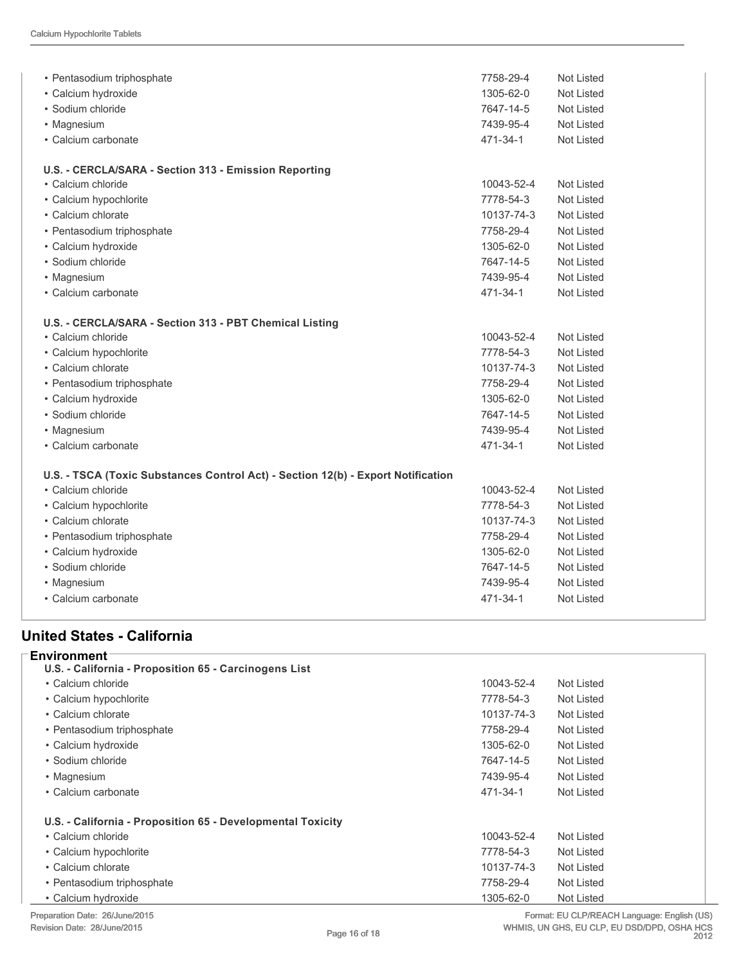| • Pentasodium triphosphate                                                       | 7758-29-4  | Not Listed        |
|----------------------------------------------------------------------------------|------------|-------------------|
| · Calcium hydroxide                                                              | 1305-62-0  | Not Listed        |
| • Sodium chloride                                                                | 7647-14-5  | Not Listed        |
| • Magnesium                                                                      | 7439-95-4  | <b>Not Listed</b> |
| • Calcium carbonate                                                              | 471-34-1   | Not Listed        |
| U.S. - CERCLA/SARA - Section 313 - Emission Reporting                            |            |                   |
| • Calcium chloride                                                               | 10043-52-4 | Not Listed        |
| • Calcium hypochlorite                                                           | 7778-54-3  | Not Listed        |
| • Calcium chlorate                                                               | 10137-74-3 | Not Listed        |
| · Pentasodium triphosphate                                                       | 7758-29-4  | <b>Not Listed</b> |
| • Calcium hydroxide                                                              | 1305-62-0  | Not Listed        |
| • Sodium chloride                                                                | 7647-14-5  | Not Listed        |
| • Magnesium                                                                      | 7439-95-4  | Not Listed        |
| • Calcium carbonate                                                              | 471-34-1   | Not Listed        |
| U.S. - CERCLA/SARA - Section 313 - PBT Chemical Listing                          |            |                   |
| • Calcium chloride                                                               | 10043-52-4 | Not Listed        |
| • Calcium hypochlorite                                                           | 7778-54-3  | Not Listed        |
| • Calcium chlorate                                                               | 10137-74-3 | <b>Not Listed</b> |
| • Pentasodium triphosphate                                                       | 7758-29-4  | Not Listed        |
| · Calcium hydroxide                                                              | 1305-62-0  | Not Listed        |
| · Sodium chloride                                                                | 7647-14-5  | Not Listed        |
| • Magnesium                                                                      | 7439-95-4  | <b>Not Listed</b> |
| • Calcium carbonate                                                              | 471-34-1   | Not Listed        |
| U.S. - TSCA (Toxic Substances Control Act) - Section 12(b) - Export Notification |            |                   |
| • Calcium chloride                                                               | 10043-52-4 | Not Listed        |
| • Calcium hypochlorite                                                           | 7778-54-3  | Not Listed        |
| • Calcium chlorate                                                               | 10137-74-3 | Not Listed        |
| • Pentasodium triphosphate                                                       | 7758-29-4  | Not Listed        |
| · Calcium hydroxide                                                              | 1305-62-0  | Not Listed        |
| • Sodium chloride                                                                | 7647-14-5  | Not Listed        |
| • Magnesium                                                                      | 7439-95-4  | Not Listed        |
| • Calcium carbonate                                                              | 471-34-1   | <b>Not Listed</b> |
|                                                                                  |            |                   |

#### **United States California**

| <b>Environment</b>                                          |            |                   |
|-------------------------------------------------------------|------------|-------------------|
| U.S. - California - Proposition 65 - Carcinogens List       |            |                   |
| • Calcium chloride                                          | 10043-52-4 | Not Listed        |
| • Calcium hypochlorite                                      | 7778-54-3  | Not Listed        |
| • Calcium chlorate                                          | 10137-74-3 | Not Listed        |
| • Pentasodium triphosphate                                  | 7758-29-4  | <b>Not Listed</b> |
| • Calcium hydroxide                                         | 1305-62-0  | Not Listed        |
| • Sodium chloride                                           | 7647-14-5  | Not Listed        |
| • Magnesium                                                 | 7439-95-4  | Not Listed        |
| • Calcium carbonate                                         | 471-34-1   | Not Listed        |
| U.S. - California - Proposition 65 - Developmental Toxicity |            |                   |
| • Calcium chloride                                          | 10043-52-4 | Not Listed        |
| • Calcium hypochlorite                                      | 7778-54-3  | Not Listed        |
| • Calcium chlorate                                          | 10137-74-3 | Not Listed        |
| • Pentasodium triphosphate                                  | 7758-29-4  | Not Listed        |
| • Calcium hydroxide                                         | 1305-62-0  | Not Listed        |

Preparation Date: 26/June/2015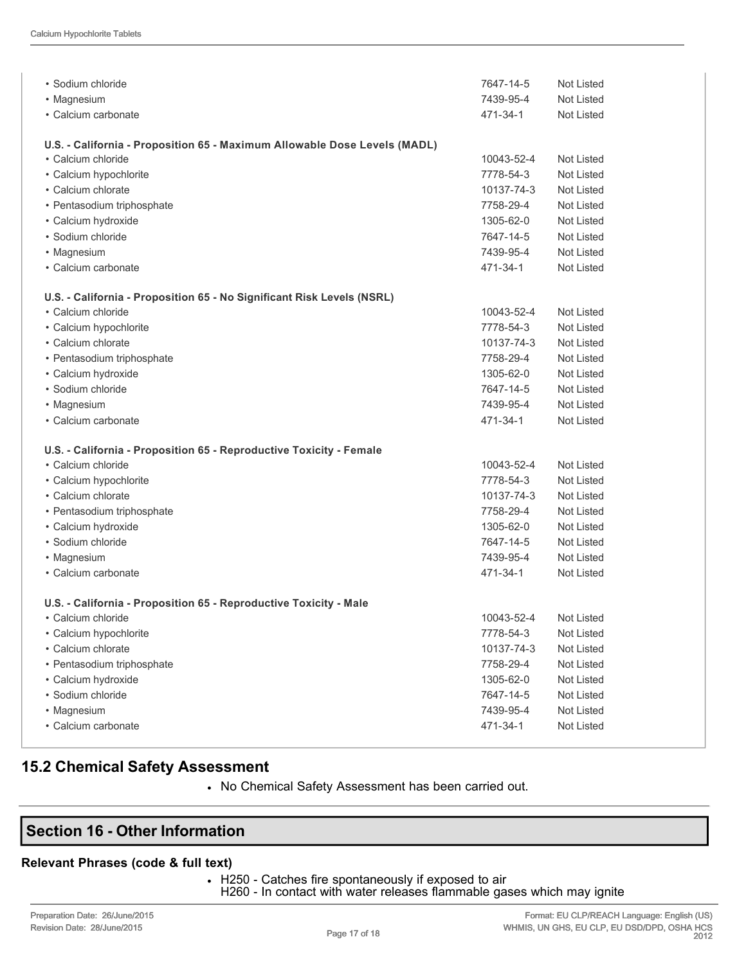| • Sodium chloride<br>• Magnesium                                                          | 7647-14-5<br>7439-95-4 | Not Listed<br><b>Not Listed</b> |
|-------------------------------------------------------------------------------------------|------------------------|---------------------------------|
| • Calcium carbonate                                                                       | 471-34-1               | <b>Not Listed</b>               |
| U.S. - California - Proposition 65 - Maximum Allowable Dose Levels (MADL)                 |                        |                                 |
| • Calcium chloride                                                                        | 10043-52-4             | Not Listed                      |
| • Calcium hypochlorite                                                                    | 7778-54-3              | Not Listed                      |
| • Calcium chlorate                                                                        | 10137-74-3             | Not Listed                      |
| • Pentasodium triphosphate                                                                | 7758-29-4              | Not Listed                      |
| • Calcium hydroxide                                                                       | 1305-62-0              | Not Listed                      |
| • Sodium chloride                                                                         | 7647-14-5              | <b>Not Listed</b>               |
| • Magnesium                                                                               | 7439-95-4              | Not Listed                      |
| • Calcium carbonate                                                                       | 471-34-1               | Not Listed                      |
| U.S. - California - Proposition 65 - No Significant Risk Levels (NSRL)                    |                        |                                 |
| • Calcium chloride                                                                        | 10043-52-4             | Not Listed                      |
| • Calcium hypochlorite                                                                    | 7778-54-3              | Not Listed                      |
| • Calcium chlorate                                                                        | 10137-74-3             | Not Listed                      |
| • Pentasodium triphosphate                                                                | 7758-29-4              | Not Listed                      |
| • Calcium hydroxide                                                                       | 1305-62-0              | Not Listed                      |
| • Sodium chloride                                                                         | 7647-14-5              | Not Listed                      |
| • Magnesium                                                                               | 7439-95-4              | Not Listed                      |
| • Calcium carbonate                                                                       | 471-34-1               | Not Listed                      |
|                                                                                           |                        |                                 |
| U.S. - California - Proposition 65 - Reproductive Toxicity - Female<br>• Calcium chloride | 10043-52-4             | Not Listed                      |
| • Calcium hypochlorite                                                                    | 7778-54-3              | <b>Not Listed</b>               |
| • Calcium chlorate                                                                        | 10137-74-3             | Not Listed                      |
| • Pentasodium triphosphate                                                                | 7758-29-4              | Not Listed                      |
| • Calcium hydroxide                                                                       | 1305-62-0              | Not Listed                      |
| • Sodium chloride                                                                         | 7647-14-5              | Not Listed                      |
| • Magnesium                                                                               | 7439-95-4              | Not Listed                      |
| • Calcium carbonate                                                                       | 471-34-1               | Not Listed                      |
|                                                                                           |                        |                                 |
| U.S. - California - Proposition 65 - Reproductive Toxicity - Male                         |                        |                                 |
| • Calcium chloride                                                                        | 10043-52-4             | Not Listed                      |
| • Calcium hypochlorite                                                                    | 7778-54-3              | Not Listed                      |
| • Calcium chlorate                                                                        | 10137-74-3             | <b>Not Listed</b>               |
| • Pentasodium triphosphate                                                                | 7758-29-4              | Not Listed                      |
| • Calcium hydroxide                                                                       | 1305-62-0              | Not Listed                      |
| · Sodium chloride                                                                         | 7647-14-5              | Not Listed                      |
| • Magnesium<br>• Calcium carbonate                                                        | 7439-95-4              | Not Listed                      |
|                                                                                           | 471-34-1               | Not Listed                      |

### **15.2 Chemical Safety Assessment**

• No Chemical Safety Assessment has been carried out.

## **Section 16 Other Information**

#### **Relevant Phrases (code & full text)**

• H250 - Catches fire spontaneously if exposed to air

H260 - In contact with water releases flammable gases which may ignite